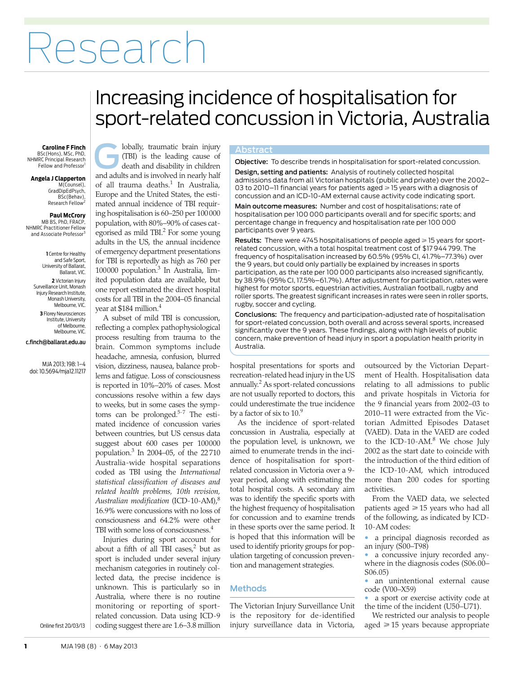# Research

## <span id="page-0-0"></span>Increasing incidence of hospitalisation for sport-related concussion in Victoria, Australia

### BSc(Hons), MSc, PhD,

NHMRC Principal Research Fellow and Professor<sup>1</sup>

#### **Angela J Clapperton**

M(Counsel), GradDipEdPsych, BSc(Behav), Research Fellow<sup>2</sup>

#### **Paul McCrory**

 MB BS, PhD, FRACP, NHMRC Practitioner Fellow and Associate Professor<sup>3</sup>

> **1** Centre for Healthy and Safe Sport, University of Ballarat, Ballarat, VIC. **2** Victorian Injury Surveillance Unit, Monash Injury Research Institute, Monash University, Melbourne, VIC. **3** Florey Neurosciences Institute, University of Melbourne, Melbourne, VIC.

c.finch@ballarat.edu.au

MJA 2013; 198: [1–](#page-0-0)[4](#page-3-8) doi: 10.5694/mja12.11217

lobally, traumatic brain injury Abstract **Caroline F Finch** (TBI) is the leading cause of death and disability in children **a** lobally, traumatic brain injury (TBI) is the leading cause of death and disability in children and adults and is involved in nearly half of all trauma deaths.<sup>1</sup> In Australia, Europe and the United States, the estimated annual incidence of TBI requiring hospitalisation is 60–250 per 100000 population, with 80%–90% of cases cat-egorised as mild TBI.<sup>[2](#page-3-1)</sup> For some young adults in the US, the annual incidence of emergency department presentations for TBI is reportedly as high as 760 per 100000 population.<sup>[3](#page-3-2)</sup> In Australia, limited population data are available, but one report estimated the direct hospital costs for all TBI in the 2004–05 financial year at \$184 million[.4](#page-3-3)

*Australian modification* (ICD-10-AM),<sup>8</sup> 16.9% were concussions with no loss of consciousness and 64.2% were other where  $\frac{c}{m}$ A subset of mild TBI is concussion, reflecting a complex pathophysiological process resulting from trauma to the brain. Common symptoms include headache, amnesia, confusion, blurred vision, dizziness, nausea, balance problems and fatigue. Loss of consciousness is reported in 10%–20% of cases. Most concussions resolve within a few days to weeks, but in some cases the symptoms can be prolonged.[5](#page-3-4)[-7](#page-3-5) The estimated incidence of concussion varies between countries, but US census data suggest about 600 cases per 100000 population[.3](#page-3-2) In 2004–05, of the 22710 Australia-wide hospital separations coded as TBI using the *International statistical classification of diseases and related health problems, 10th revision,* TBI with some loss of consciousness.<sup>4</sup>

> Injuries during sport account for about a fifth of all TBI cases, $2$  but as sport is included under several injury mechanism categories in routinely collected data, the precise incidence is unknown. This is particularly so in Australia, where there is no routine monitoring or reporting of sportrelated concussion. Data using ICD-9 coding suggest there are 1.6–3.8 million

Objective: To describe trends in hospitalisation for sport-related concussion.

Design, setting and patients: Analysis of routinely collected hospital admissions data from all Victorian hospitals (public and private) over the 2002– 03 to 2010–11 financial years for patients aged  $\geq$  15 years with a diagnosis of concussion and an ICD-10-AM external cause activity code indicating sport.

Main outcome measures: Number and cost of hospitalisations; rate of hospitalisation per 100 000 participants overall and for specific sports; and percentage change in frequency and hospitalisation rate per 100 000 participants over 9 years.

**Results:** There were 4745 hospitalisations of people aged  $\geq 15$  years for sportrelated concussion, with a total hospital treatment cost of \$17 944 799. The frequency of hospitalisation increased by 60.5% (95% CI, 41.7%–77.3%) over the 9 years, but could only partially be explained by increases in sports participation, as the rate per 100 000 participants also increased significantly, by 38.9% (95% CI, 17.5%–61.7%). After adjustment for participation, rates were highest for motor sports, equestrian activities, Australian football, rugby and roller sports. The greatest significant increases in rates were seen in roller sports, rugby, soccer and cycling.

Conclusions: The frequency and participation-adjusted rate of hospitalisation for sport-related concussion, both overall and across several sports, increased significantly over the 9 years. These findings, along with high levels of public concern, make prevention of head injury in sport a population health priority in Australia.

hospital presentations for sports and recreation-related head injury in the US annually[.2](#page-3-1) As sport-related concussions are not usually reported to doctors, this could underestimate the true incidence by a factor of six to  $10<sup>9</sup>$  $10<sup>9</sup>$  $10<sup>9</sup>$ 

As the incidence of sport-related concussion in Australia, especially at the population level, is unknown, we aimed to enumerate trends in the incidence of hospitalisation for sportrelated concussion in Victoria over a 9 year period, along with estimating the total hospital costs. A secondary aim was to identify the specific sports with the highest frequency of hospitalisation for concussion and to examine trends in these sports over the same period. It is hoped that this information will be used to identify priority groups for population targeting of concussion prevention and management strategies.

#### Methods

The Victorian Injury Surveillance Unit is the repository for de-identified injury surveillance data in Victoria,

outsourced by the Victorian Department of Health. Hospitalisation data relating to all admissions to public and private hospitals in Victoria for the 9 financial years from 2002–03 to 2010–11 were extracted from the Victorian Admitted Episodes Dataset (VAED). Data in the VAED are coded to the ICD-10-AM.<sup>[8](#page-3-6)</sup> We chose July 2002 as the start date to coincide with the introduction of the third edition of the ICD-10-AM, which introduced more than 200 codes for sporting activities.

From the VAED data, we selected patients aged  $\geqslant$  15 years who had all of the following, as indicated by ICD-10-AM codes:

• a principal diagnosis recorded as an injury (S00–T98)

a concussive injury recorded anywhere in the diagnosis codes (S06.00– S06.05)

• an unintentional external cause code (V00–X59)

a sport or exercise activity code at the time of the incident (U50–U71).

We restricted our analysis to people aged ≥15 years because appropriate

Online first 20/03/13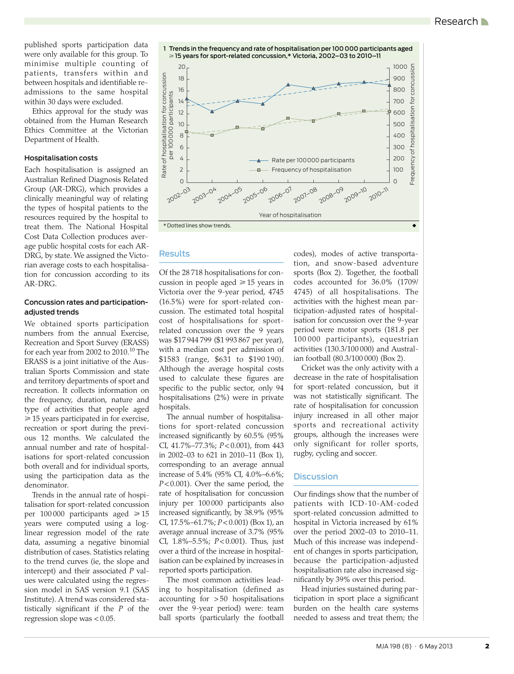published sports participation data were only available for this group. To minimise multiple counting of patients, transfers within and between hospitals and identifiable readmissions to the same hospital within 30 days were excluded.

Ethics approval for the study was obtained from the Human Research Ethics Committee at the Victorian Department of Health.

#### Hospitalisation costs

Each hospitalisation is assigned an Australian Refined Diagnosis Related Group (AR-DRG), which provides a clinically meaningful way of relating the types of hospital patients to the resources required by the hospital to treat them. The National Hospital Cost Data Collection produces average public hospital costs for each AR-DRG, by state. We assigned the Victorian average costs to each hospitalisation for concussion according to its AR-DRG.

#### Concussion rates and participationadjusted trends

We obtained sports participation numbers from the annual Exercise, Recreation and Sport Survey (ERASS) for each year from 2002 to 20[10](#page-3-9).<sup>10</sup> The ERASS is a joint initiative of the Australian Sports Commission and state and territory departments of sport and recreation. It collects information on the frequency, duration, nature and type of activities that people aged ≥ 15 years participated in for exercise, recreation or sport during the previous 12 months. We calculated the annual number and rate of hospitalisations for sport-related concussion both overall and for individual sports, using the participation data as the denominator.

Trends in the annual rate of hospitalisation for sport-related concussion per  $100000$  participants aged  $\geq 15$ years were computed using a loglinear regression model of the rate data, assuming a negative binomial distribution of cases. Statistics relating to the trend curves (ie, the slope and intercept) and their associated *P* values were calculated using the regression model in SAS version 9.1 (SAS Institute). A trend was considered statistically significant if the *P* of the regression slope was < 0.05.



### Results

Of the 28 718 hospitalisations for concussion in people aged  $\geq 15$  years in Victoria over the 9-year period, 4745 (16.5%) were for sport-related concussion. The estimated total hospital cost of hospitalisations for sportrelated concussion over the 9 years was \$17 944 799 (\$1 993 867 per year), with a median cost per admission of \$1583 (range, \$631 to \$190 190). Although the average hospital costs used to calculate these figures are specific to the public sector, only 94 hospitalisations (2%) were in private hospitals.

The annual number of hospitalisations for sport-related concussion increased significantly by 60.5% (95% CI, 41.7%–77.3%; *P*< 0.001), from 443 in 2002–03 to 621 in 2010–11 (Box 1), corresponding to an average annual increase of 5.4% (95% CI, 4.0%–6.6%; *P*< 0.001). Over the same period, the rate of hospitalisation for concussion injury per 100 000 participants also increased significantly, by 38.9% (95% CI, 17.5%–61.7%; *P*< 0.001) (Box 1), an average annual increase of 3.7% (95% CI, 1.8%–5.5%; *P*< 0.001). Thus, just over a third of the increase in hospitalisation can be explained by increases in reported sports participation.

The most common activities leading to hospitalisation (defined as accounting for > 50 hospitalisations over the 9-year period) were: team ball sports (particularly the football

codes), modes of active transportation, and snow-based adventure sports (Box 2). Together, the football codes accounted for 36.0% (1709/ 4745) of all hospitalisations. The activities with the highest mean participation-adjusted rates of hospitalisation for concussion over the 9-year period were motor sports (181.8 per 100 000 participants), equestrian activities (130.3/100 000) and Australian football (80.3/100 000) (Box 2).

Cricket was the only activity with a decrease in the rate of hospitalisation for sport-related concussion, but it was not statistically significant. The rate of hospitalisation for concussion injury increased in all other major sports and recreational activity groups, although the increases were only significant for roller sports, rugby, cycling and soccer.

#### **Discussion**

Our findings show that the number of patients with ICD-10-AM-coded sport-related concussion admitted to hospital in Victoria increased by 61% over the period 2002–03 to 2010–11. Much of this increase was independent of changes in sports participation, because the participation-adjusted hospitalisation rate also increased significantly by 39% over this period.

Head injuries sustained during participation in sport place a significant burden on the health care systems needed to assess and treat them; the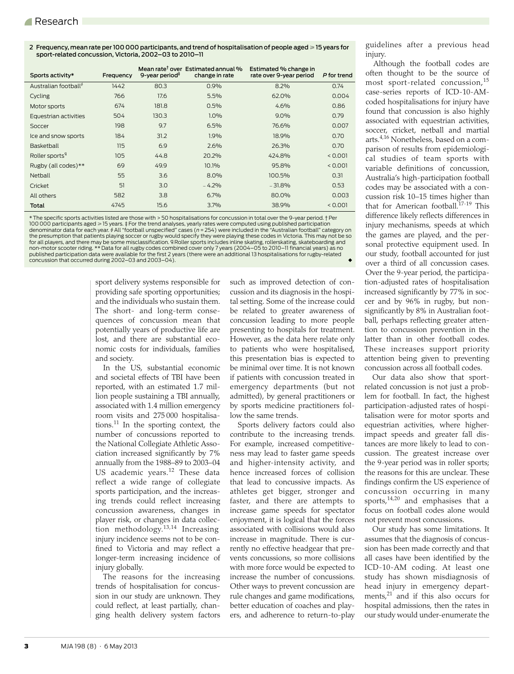2 Frequency, mean rate per 100 000 participants, and trend of hospitalisation of people aged  $\geqslant$  15 years for sport-related concussion, Victoria, 2002–03 to 2010–11

| Sports activity*                  | Freauency | 9-year period <sup>#</sup> | Mean rate <sup>†</sup> over Estimated annual %<br>change in rate | Estimated % change in<br>rate over 9-vear period | P for trend |
|-----------------------------------|-----------|----------------------------|------------------------------------------------------------------|--------------------------------------------------|-------------|
| Australian football <sup>\$</sup> | 1442      | 80.3                       | 0.9%                                                             | 8.2%                                             | 0.74        |
| Cycling                           | 766       | 17.6                       | 5.5%                                                             | 62.0%                                            | 0.004       |
| Motor sports                      | 674       | 181.8                      | 0.5%                                                             | 4.6%                                             | 0.86        |
| Equestrian activities             | 504       | 130.3                      | 1.0%                                                             | $9.0\%$                                          | 0.79        |
| Soccer                            | 198       | 9.7                        | 6.5%                                                             | 76.6%                                            | 0.007       |
| Ice and snow sports               | 184       | 31.2                       | 1.9%                                                             | 18.9%                                            | 0.70        |
| Basketball                        | 115       | 6.9                        | 2.6%                                                             | 26.3%                                            | 0.70        |
| Roller sports <sup>4</sup>        | 105       | 44.8                       | 20.2%                                                            | 424.8%                                           | < 0.001     |
| Rugby (all codes)**               | 69        | 49.9                       | 10.1%                                                            | 95.8%                                            | < 0.001     |
| Netball                           | 55        | 3.6                        | $8.0\%$                                                          | 100.5%                                           | 0.31        |
| Cricket                           | 51        | 3.0                        | $-4.2%$                                                          | $-31.8%$                                         | 0.53        |
| All others                        | 582       | 3.8                        | 6.7%                                                             | 80.0%                                            | 0.003       |
| Total                             | 4745      | 15.6                       | 3.7%                                                             | 38.9%                                            | < 0.001     |

\* The specific sports activities listed are those with > 50 hospitalisations for concussion in total over the 9-year period. † Per 100 000 participants aged ≥ 15 years.‡For the trend analyses, yearly rates were computed using published participation<br>denominator data for each year.∮All "football unspecified" cases (*n = 2*54) were included in the "Aus for all players, and there may be some misclassification. If Roller sports includes inline skating, rollerskating, skateboarding and non-motor scooter riding. \*\* Data for all rugby codes combined cover only 7 years (2004–05 to 2010–11 financial years) as no<br>published participation data were available for the first 2 years (there were an additional 13 ho  $\overline{c}$  concussion that occurred during 2002–03 and 2003–04).

> sport delivery systems responsible for providing safe sporting opportunities; and the individuals who sustain them. The short- and long-term consequences of concussion mean that potentially years of productive life are lost, and there are substantial economic costs for individuals, families and society.

> In the US, substantial economic and societal effects of TBI have been reported, with an estimated 1.7 million people sustaining a TBI annually, associated with 1.4 million emergency room visits and 275 000 hospitalisations. $^{11}$  In the sporting context, the number of concussions reported to the National Collegiate Athletic Association increased significantly by 7% annually from the 1988–89 to 2003–04 US academic years.<sup>[12](#page-3-10)</sup> These data reflect a wide range of collegiate sports participation, and the increasing trends could reflect increasing concussion awareness, changes in player risk, or changes in data collection methodology.[13](#page-3-11),[14](#page-3-12) Increasing injury incidence seems not to be confined to Victoria and may reflect a longer-term increasing incidence of injury globally.

> The reasons for the increasing trends of hospitalisation for concussion in our study are unknown. They could reflect, at least partially, changing health delivery system factors

such as improved detection of concussion and its diagnosis in the hospital setting. Some of the increase could be related to greater awareness of concussion leading to more people presenting to hospitals for treatment. However, as the data here relate only to patients who were hospitalised, this presentation bias is expected to be minimal over time. It is not known if patients with concussion treated in emergency departments (but not admitted), by general practitioners or by sports medicine practitioners follow the same trends.

Sports delivery factors could also contribute to the increasing trends. For example, increased competitiveness may lead to faster game speeds and higher-intensity activity, and hence increased forces of collision that lead to concussive impacts. As athletes get bigger, stronger and faster, and there are attempts to increase game speeds for spectator enjoyment, it is logical that the forces associated with collisions would also increase in magnitude. There is currently no effective headgear that prevents concussions, so more collisions with more force would be expected to increase the number of concussions. Other ways to prevent concussion are rule changes and game modifications, better education of coaches and players, and adherence to return-to-play

guidelines after a previous head injury.

Although the football codes are often thought to be the source of most sport-related concussion,<sup>[15](#page-3-13)</sup> case-series reports of ICD-10-AMcoded hospitalisations for injury have found that concussion is also highly associated with equestrian activities, soccer, cricket, netball and martial arts.[4](#page-3-3)[,16](#page-3-14) Nonetheless, based on a comparison of results from epidemiological studies of team sports with variable definitions of concussion, Australia's high-participation football codes may be associated with a concussion risk 10–15 times higher than that for American football.<sup>17[-19](#page-3-16)</sup> This difference likely reflects differences in injury mechanisms, speeds at which the games are played, and the personal protective equipment used. In our study, football accounted for just over a third of all concussion cases. Over the 9-year period, the participation-adjusted rates of hospitalisation increased significantly by 77% in soccer and by 96% in rugby, but nonsignificantly by 8% in Australian football, perhaps reflecting greater attention to concussion prevention in the latter than in other football codes. These increases support priority attention being given to preventing concussion across all football codes.

Our data also show that sportrelated concussion is not just a problem for football. In fact, the highest participation-adjusted rates of hospitalisation were for motor sports and equestrian activities, where higherimpact speeds and greater fall distances are more likely to lead to concussion. The greatest increase over the 9-year period was in roller sports; the reasons for this are unclear. These findings confirm the US experience of concussion occurring in many sports, $14,20$  $14,20$  $14,20$  and emphasises that a focus on football codes alone would not prevent most concussions.

Our study has some limitations. It assumes that the diagnosis of concussion has been made correctly and that all cases have been identified by the ICD-10-AM coding. At least one study has shown misdiagnosis of head injury in emergency departments, $21$  and if this also occurs for hospital admissions, then the rates in our study would under-enumerate the